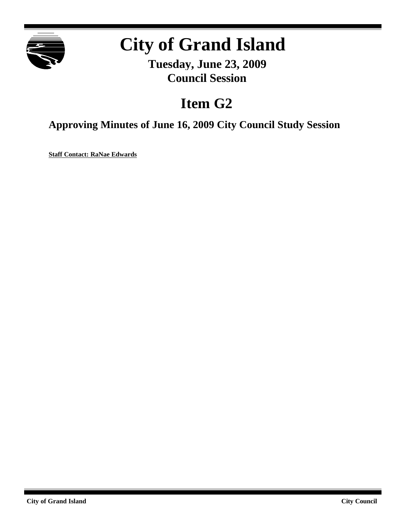

# **City of Grand Island**

**Tuesday, June 23, 2009 Council Session**

## **Item G2**

**Approving Minutes of June 16, 2009 City Council Study Session**

**Staff Contact: RaNae Edwards**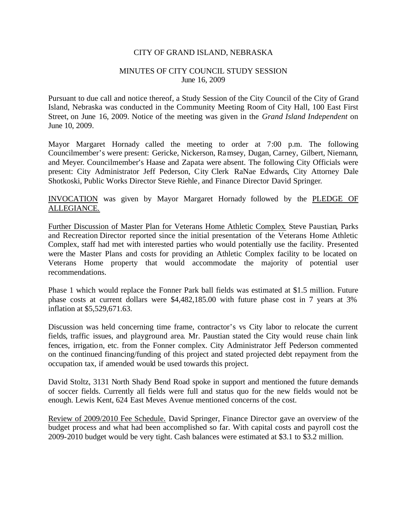### CITY OF GRAND ISLAND, NEBRASKA

### MINUTES OF CITY COUNCIL STUDY SESSION June 16, 2009

Pursuant to due call and notice thereof, a Study Session of the City Council of the City of Grand Island, Nebraska was conducted in the Community Meeting Room of City Hall, 100 East First Street, on June 16, 2009. Notice of the meeting was given in the *Grand Island Independent* on June 10, 2009.

Mayor Margaret Hornady called the meeting to order at 7:00 p.m. The following Councilmember's were present: Gericke, Nickerson, Ramsey, Dugan, Carney, Gilbert, Niemann, and Meyer. Councilmember's Haase and Zapata were absent. The following City Officials were present: City Administrator Jeff Pederson, City Clerk RaNae Edwards, City Attorney Dale Shotkoski, Public Works Director Steve Riehle, and Finance Director David Springer.

INVOCATION was given by Mayor Margaret Hornady followed by the PLEDGE OF ALLEGIANCE.

Further Discussion of Master Plan for Veterans Home Athletic Complex. Steve Paustian, Parks and Recreation Director reported since the initial presentation of the Veterans Home Athletic Complex, staff had met with interested parties who would potentially use the facility. Presented were the Master Plans and costs for providing an Athletic Complex facility to be located on Veterans Home property that would accommodate the majority of potential user recommendations.

Phase 1 which would replace the Fonner Park ball fields was estimated at \$1.5 million. Future phase costs at current dollars were \$4,482,185.00 with future phase cost in 7 years at 3% inflation at \$5,529,671.63.

Discussion was held concerning time frame, contractor's vs City labor to relocate the current fields, traffic issues, and playground area. Mr. Paustian stated the City would reuse chain link fences, irrigation, etc. from the Fonner complex. City Administrator Jeff Pederson commented on the continued financing/funding of this project and stated projected debt repayment from the occupation tax, if amended would be used towards this project.

David Stoltz, 3131 North Shady Bend Road spoke in support and mentioned the future demands of soccer fields. Currently all fields were full and status quo for the new fields would not be enough. Lewis Kent, 624 East Meves Avenue mentioned concerns of the cost.

Review of 2009/2010 Fee Schedule. David Springer, Finance Director gave an overview of the budget process and what had been accomplished so far. With capital costs and payroll cost the 2009-2010 budget would be very tight. Cash balances were estimated at \$3.1 to \$3.2 million.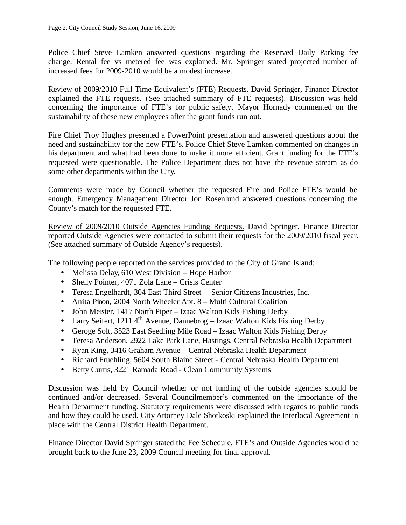Police Chief Steve Lamken answered questions regarding the Reserved Daily Parking fee change. Rental fee vs metered fee was explained. Mr. Springer stated projected number of increased fees for 2009-2010 would be a modest increase.

Review of 2009/2010 Full Time Equivalent's (FTE) Requests. David Springer, Finance Director explained the FTE requests. (See attached summary of FTE requests). Discussion was held concerning the importance of FTE's for public safety. Mayor Hornady commented on the sustainability of these new employees after the grant funds run out.

Fire Chief Troy Hughes presented a PowerPoint presentation and answered questions about the need and sustainability for the new FTE's. Police Chief Steve Lamken commented on changes in his department and what had been done to make it more efficient. Grant funding for the FTE's requested were questionable. The Police Department does not have the revenue stream as do some other departments within the City.

Comments were made by Council whether the requested Fire and Police FTE's would be enough. Emergency Management Director Jon Rosenlund answered questions concerning the County's match for the requested FTE.

Review of 2009/2010 Outside Agencies Funding Requests. David Springer, Finance Director reported Outside Agencies were contacted to submit their requests for the 2009/2010 fiscal year. (See attached summary of Outside Agency's requests).

The following people reported on the services provided to the City of Grand Island:

- Melissa Delay, 610 West Division Hope Harbor
- Shelly Pointer, 4071 Zola Lane Crisis Center
- Teresa Engelhardt, 304 East Third Street Senior Citizens Industries, Inc.
- Anita Pinon, 2004 North Wheeler Apt. 8 Multi Cultural Coalition
- John Meister, 1417 North Piper Izaac Walton Kids Fishing Derby
- Larry Seifert, 1211  $4^{th}$  Avenue, Dannebrog Izaac Walton Kids Fishing Derby
- Geroge Solt, 3523 East Seedling Mile Road Izaac Walton Kids Fishing Derby
- Teresa Anderson, 2922 Lake Park Lane, Hastings, Central Nebraska Health Department
- Ryan King, 3416 Graham Avenue Central Nebraska Health Department
- Richard Fruehling, 5604 South Blaine Street Central Nebraska Health Department
- Betty Curtis, 3221 Ramada Road Clean Community Systems

Discussion was held by Council whether or not funding of the outside agencies should be continued and/or decreased. Several Councilmember's commented on the importance of the Health Department funding. Statutory requirements were discussed with regards to public funds and how they could be used. City Attorney Dale Shotkoski explained the Interlocal Agreement in place with the Central District Health Department.

Finance Director David Springer stated the Fee Schedule, FTE's and Outside Agencies would be brought back to the June 23, 2009 Council meeting for final approval.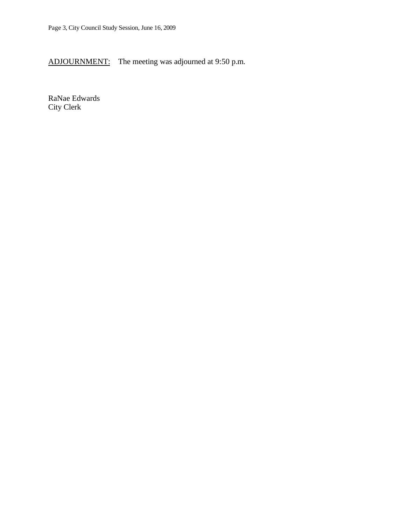ADJOURNMENT: The meeting was adjourned at 9:50 p.m.

RaNae Edwards City Clerk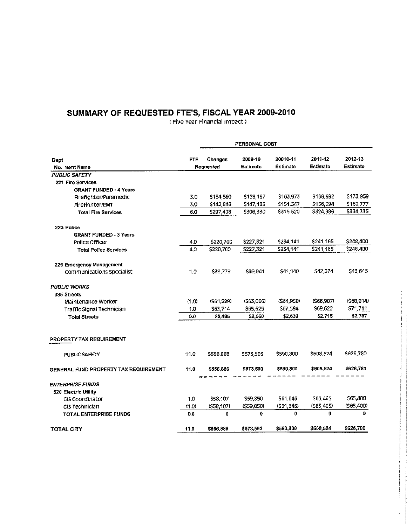# SUMMARY OF REQUESTED FTE'S, FISCAL YEAR 2009-2010

|                                                 |            |             | PERSONAL COST |              |                     |                 |
|-------------------------------------------------|------------|-------------|---------------|--------------|---------------------|-----------------|
| Dept                                            | <b>FTE</b> | Changes     | 2009-10       | 20010-11     | 2011-12             | 2012-13         |
| No. nent Name                                   |            | Requested   | Estimate      | Estimate     | Estimate            | <b>Estimate</b> |
| <b>PUBLIC SAFETY</b>                            |            |             |               |              |                     |                 |
| 221 Fire Services                               |            |             |               |              |                     |                 |
| <b>GRANT FUNDED - 4 Years</b>                   |            |             |               |              |                     |                 |
| Firefighter/Paramedic                           | 3.0        | \$154,560   | 5159,197      | \$163,973    | \$168,892           | \$173,959       |
| Fireflahter/EMT                                 | 3.0        | \$142,848   | \$147,133     | \$151.547    | \$156,094           | \$160,777       |
| <b>Total Fire Services</b>                      | 6.0        | \$297,408   | \$306,330     | \$315,520    | \$324,986           | \$334,735       |
| 223 Police                                      |            |             |               |              |                     |                 |
| <b>GRANT FUNDED 3 Years</b>                     |            |             |               |              |                     |                 |
| Police Officer                                  | 4.0        | \$220,700   | \$227,321     | S234,141     | \$241,165           | \$248,400       |
| <b>Total Police Services</b>                    | 4.0        | \$220,700   | \$227,321     | \$234,141    | \$241,165           | \$248,400       |
| 226 Emergency Management                        |            |             |               |              |                     |                 |
| <b>Communications Specialist</b>                | 1.0        | \$38,778    | \$39,941      | \$41,140     | \$42,374            | \$43,645        |
| <b>PUBLIC WORKS</b>                             |            |             |               |              |                     |                 |
| 335 Streets                                     |            |             |               |              |                     |                 |
| Maintenance Worker                              | (1.0)      | (\$61,229)  | (563,066)     | (564, 958)   | (\$66,907)          | (568, 914)      |
| Traffic Signal Technician                       | 1.0        | \$63,714    | \$65,625      | \$67,594     | S69,622             | S71,711         |
| <b>Total Streets</b>                            | 0.0        | \$2,485     | \$2,560       | \$2,636      | \$2,715             | \$2,797         |
| <b>PROPERTY TAX REQUIREMENT</b>                 |            |             |               |              |                     |                 |
| <b>PUBLIC SAFETY</b>                            | 110        | \$556,886   | \$573,593     | \$590,800    | \$608,524           | \$626,780       |
| <b>GENERAL FUND PROPERTY TAX REQUIREMENT</b>    | 11.0       | \$556,886   | \$573,593     | \$590,800    | \$608,524           | \$626,780       |
|                                                 |            | ======      |               | - - -        | $=$ $=$ $=$ $=$ $=$ | $= = = = = = =$ |
| <b>ENTERPRISE FUNDS</b><br>520 Electric Utility |            |             |               |              |                     |                 |
| <b>GIS Coordinator</b>                          | 1.0        | \$58,107    | \$59,850      | \$61,646     | \$63,495            | \$65,400        |
| GIS Technician                                  | (1,0)      | (\$58,107)  | (559, 850)    | (\$61,646)   | (563, 495)          | (565,400)       |
| TOTAL ENTERPRISE FUNDS                          | 0.0        | $\mathbf 0$ | $\mathbf 0$   | $\mathbf{0}$ | $\mathbf{0}$        | O               |
| TOTAL CITY                                      | 11.0       | \$556,886   | \$573,593     | \$590,800    | \$608,524           | \$626,780       |